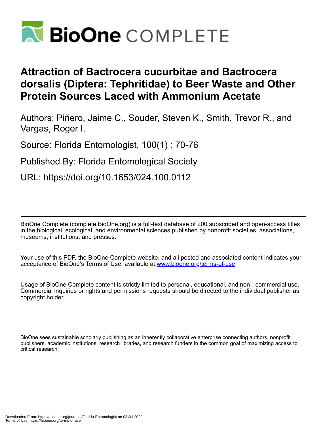

## **Attraction of Bactrocera cucurbitae and Bactrocera dorsalis (Diptera: Tephritidae) to Beer Waste and Other Protein Sources Laced with Ammonium Acetate**

Authors: Piñero, Jaime C., Souder, Steven K., Smith, Trevor R., and Vargas, Roger I.

Source: Florida Entomologist, 100(1) : 70-76

Published By: Florida Entomological Society

URL: https://doi.org/10.1653/024.100.0112

BioOne Complete (complete.BioOne.org) is a full-text database of 200 subscribed and open-access titles in the biological, ecological, and environmental sciences published by nonprofit societies, associations, museums, institutions, and presses.

Your use of this PDF, the BioOne Complete website, and all posted and associated content indicates your acceptance of BioOne's Terms of Use, available at www.bioone.org/terms-of-use.

Usage of BioOne Complete content is strictly limited to personal, educational, and non - commercial use. Commercial inquiries or rights and permissions requests should be directed to the individual publisher as copyright holder.

BioOne sees sustainable scholarly publishing as an inherently collaborative enterprise connecting authors, nonprofit publishers, academic institutions, research libraries, and research funders in the common goal of maximizing access to critical research.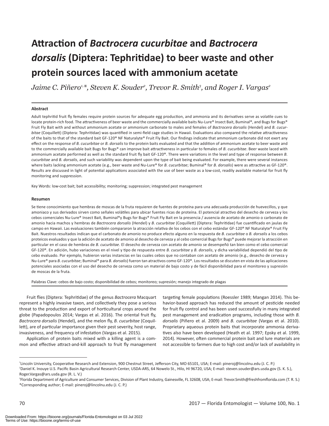# **Attraction of** *Bactrocera cucurbitae* **and** *Bactrocera dorsalis* **(Diptera: Tephritidae) to beer waste and other protein sources laced with ammonium acetate**

 $J$ aime C. Piñero<sup>1,</sup>\*, Steven K. Souder<sup>2</sup>, Trevor R. Smith<sup>3</sup>, and Roger I. Vargas<sup>2</sup>

#### **Abstract**

Adult tephritid fruit fly females require protein sources for adequate egg production, and ammonia and its derivatives serve as volatile cues to locate protein-rich food. The attractiveness of beer waste and the commercially available baits Nu-Lure® Insect Bait, Buminal®, and Bugs for Bugs® Fruit Fly Bait with and without ammonium acetate or ammonium carbonate to males and females of *Bactrocera dorsalis* (Hendel) and *B. cucurbitae* (Coquillett) (Diptera: Tephritidae) was quantified in semi-field cage studies in Hawaii. Evaluations also compared the relative attractiveness of the baits to that of the standard bait GF-120® NF Naturalyte® Fruit Fly Bait. Our findings indicate that ammonium carbonate did not exert any effect on the response of *B. cucurbitae* or *B. dorsalis* to the protein baits evaluated and that the addition of ammonium acetate to beer waste and to the commercially available bait Bugs for Bugs® can improve bait attractiveness in particular to females of *B. cucurbitae*. Beer waste laced with ammonium acetate performed as well as the standard fruit fly bait GF-120®. There were variations in the level and type of response between *B. cucurbitae* and *B. dorsalis*, and such variability was dependent upon the type of bait being evaluated. For example, there were several instances where baits lacking ammonium acetate (e.g., beer waste and Nu-Lure® for *B. cucurbitae*; Buminal® for *B. dorsalis*) were as attractive as GF-120®. Results are discussed in light of potential applications associated with the use of beer waste as a low-cost, readily available material for fruit fly monitoring and suppression.

Key Words: low-cost bait; bait accessibility; monitoring; suppression; integrated pest management

#### **Resumen**

Se tiene conocimiento que hembras de moscas de la fruta requieren de fuentes de proteína para una adecuada producción de huevecillos, y que amoniaco y sus derivados sirven como señales volátiles para ubicar fuentes ricas de proteína. El potencial atractivo del desecho de cerveza y los cebos comerciales Nu-Lure® Insect Bait, Buminal®y Bugs for Bugs® Fruit Fly Bait en la presencia / ausencia de acetato de amonio o carbonato de amonio hacia machos y hembras de *Bactrocera dorsalis* (Hendel) y *B. cucurbitae* (Coquillett) (Diptera: Tephritidae) fue cuantificado en jaulas de campo en Hawaii. Las evaluaciones también compararon la atracción relativa de los cebos con el cebo estándar GF-120® NF Naturalyte® Fruit Fly Bait. Nuestros resultados indican que el carbonato de amonio no produce efecto alguno en la respuesta de *B. cucurbitae* o *B. dorsalis* a los cebos proteicos evaluados y que la adición de acetato de amonio al desecho de cerveza y al cebo comercial Bugs for Bugs® puede mejorar la atracción en particular en el caso de hembras de *B. cucurbitae*. El desecho de cerveza con acetato de amonio se desempeñó tan bien como el cebo comercial GF-120®. En adición, hubo variaciones en el nivel y tipo de respuesta entre *B. cucurbitae* y *B. dorsalis*, y dicha variabilidad dependió del tipo de cebo evaluado. Por ejemplo, hubieron varias instancias en las cuales cebos que no contaban con acetato de amonio (e.g., desecho de cerveza y Nu-Lure® para *B. cucurbitae*; Buminal® para *B. dorsalis*) fueron tan atractivos como GF-120®. Los resultados se discuten en vista de las aplicaciones potenciales asociadas con el uso del desecho de cerveza como un material de bajo costo y de fácil disponibilidad para el monitoreo y supresión de moscas de la fruta.

Palabras Clave: cebos de bajo costo; disponibilidad de cebos; monitoreo; supresión; manejo integrado de plagas

Fruit flies (Diptera: Tephritidae) of the genus *Bactrocera* Macquart represent a highly invasive taxon, and collectively they pose a serious threat to the production and export of horticultural crops around the globe (Papadopoulos 2014; Vargas et al. 2016). The oriental fruit fly, *Bactrocera dorsalis* (Hendel), and the melon fly, *B. cucurbitae* (Coquillett), are of particular importance given their pest severity, host range, invasiveness, and frequency of infestation (Vargas et al. 2015).

Application of protein baits mixed with a killing agent is a common and effective attract-and-kill approach to fruit fly management targeting female populations (Roessler 1989; Mangan 2014). This behavior-based approach has reduced the amount of pesticide needed for fruit fly control and has been used successfully in many integrated pest management and eradication programs, including those with *B. dorsalis* (Piñero et al. 2009) and *B. cucurbitae* (Vargas et al. 2010). Proprietary aqueous protein baits that incorporate ammonia derivatives also have been developed (Heath et al. 1997; Epsky et al. 1999, 2014). However, often commercial protein bait and lure materials are not accessible to farmers due to high cost and/or lack of availability in

<sup>1</sup> Lincoln University, Cooperative Research and Extension, 900 Chestnut Street, Jefferson City, MO 65101, USA; E-mail: pineroj@lincolnu.edu (J. C. P.) 2 Daniel K. Inouye U.S. Pacific Basin Agricultural Research Center, USDA-ARS, 64 Nowelo St., Hilo, HI 96720, USA; E-mail: steven.souder@ars.usda.gov (S. K. S.), Roger.Vargas@ars.usda.gov (R. L. V.)

<sup>3</sup> Florida Department of Agriculture and Consumer Services, Division of Plant Industry, Gainesville, FL 32608, USA; E-mail: Trevor.Smith@freshfromflorida.com (T. R. S.) \*Corresponding author; E-mail: pineroj@lincolnu.edu (J. C. P.)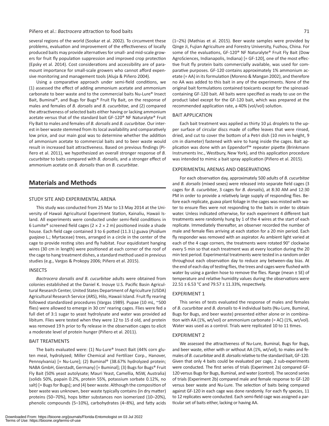#### Piñero et al.: *Bactrocera* attraction to food baits 71

several regions of the world (Sookar et al. 2002). To circumvent these problems, evaluation and improvement of the effectiveness of locally produced baits may provide alternatives for small- and mid-scale growers for fruit fly population suppression and improved crop protection (Epsky et al. 2014). Cost considerations and accessibility are of paramount importance for small-scale growers who cannot afford expensive monitoring and management tools (Aluja & Piñero 2004).

Using a comparative approach under semi-field conditions, we (1) assessed the effect of adding ammonium acetate and ammonium carbonate to beer waste and to the commercial baits Nu-Lure® Insect Bait, Buminal®, and Bugs for Bugs® Fruit Fly Bait, on the response of males and females of *B. dorsalis* and *B. cucurbitae*, and (2) compared the attractiveness of selected baits either having or lacking ammonium acetate versus that of the standard bait GF-120® NF Naturalyte® Fruit Fly Bait to males and females of *B. dorsalis* and *B. cucurbitae*. Our interest in beer waste stemmed from its local availability and comparatively low price, and our main goal was to determine whether the addition of ammonium acetate to commercial baits and to beer waste would result in increased bait attractiveness. Based on previous findings (Piñero et al. 2011), we hypothesized an overall stronger response of *B. cucurbitae* to baits compared with *B. dorsalis,* and a stronger effect of ammonium acetate on *B. dorsalis* than on *B. cucurbitae*.

## **Materials and Methods**

#### STUDY SITE AND EXPERIMENTAL ARENA

This study was conducted from 25 Mar to 13 May 2014 at the University of Hawaii Agricultural Experiment Station, Kainaliu, Hawaii Island. All experiments were conducted under semi-field conditions in 6 Lumite® screened field cages ( $2 \times 2 \times 2$  m) positioned inside a shade house. Each field cage contained 3 to 6 potted (11.3 L) guava (*Psidium guajava* L.; Myrtaceae) trees, arranged in a circle in the center of the cage to provide resting sites and fly habitat. Four equidistant hanging wires (30 cm in length) were positioned at each corner of the roof of the cage to hang treatment dishes, a standard method used in previous studies (e.g., Vargas & Prokopy 2006; Piñero et al. 2015).

#### INSECTS

*Bactrocera dorsalis and B. cucurbitae* adults were obtained from colonies established at the Daniel K. Inouye U.S. Pacific Basin Agricultural Research Center, United States Department of Agriculture (USDA) Agricultural Research Service (ARS), Hilo, Hawaii Island. Fruit fly rearing followed standardized procedures (Vargas 1989). Pupae (10 mL, ~500 flies) were allowed to emerge in 30 cm<sup>3</sup> rearing cages. Flies were fed a full diet of 3:1 sugar to yeast hydrolysate and water was provided ad libitum. Flies were tested when they were 12 to 15 d old, and protein was removed 19 h prior to fly release in the observation cages to elicit a moderate level of protein hunger (Piñero et al. 2011).

#### BAIT TREATMENTS

The baits evaluated were: (1) Nu-Lure® Insect Bait (44% corn gluten meal, hydrolyzed; Miller Chemical and Fertilizer Corp., Hanover, Pennsylvania) [= Nu-Lure]; (2) Buminal® (38.67% hydrolyzed protein; NABA GmbH, Gierstadt, Germany) [= Buminal]; (3) Bugs for Bugs® Fruit Fly Bait (50% yeast autolysate; Mauri Yeast, Camellia, NSW, Australia) (solids 50%, papain 0.2%, protein 55%, potassium sorbate 0.12%, no salt) [= Bugs for Bugs]; and (4) beer waste. Although the composition of beer waste was unknown, beer waste typically contains (in dry matter) proteins (50–70%), hops bitter substances non isomerized (10–20%), phenolic compounds (5–10%), carbohydrates (4–8%), and fatty acids

(1–2%) (Mathias et al. 2015). Beer waste samples were provided by Qinge Ji, Fujian Agriculture and Forestry University, Fuzhou, China. For some of the evaluations, GF-120® NF Naturalyte® Fruit Fly Bait (Dow AgroSciences, Indianapolis, Indiana) [= GF-120], one of the most effective fruit fly protein baits commercially available, was used for comparative purposes. GF-120 contains approximately 1% ammonium acetate (= AA) in its formulation (Moreno & Mangan 2002), and therefore no AA was added to this bait in any of the experiments. None of the original bait formulations contained toxicants except for the spinosadcontaining GF-120 bait. All baits were specified as ready to use on the product label except for the GF-120 bait, which was prepared at the recommended application rate, a 40% (vol/vol) solution.

#### BAIT APPLICATION

Each bait treatment was applied as thirty 10 μL droplets to the upper surface of circular discs made of coffee leaves that were rinsed, dried, and cut to cover the bottom of a Petri dish (10 mm in height, 9 cm in diameter) fastened with wire to hang inside the cages. Bait application was done with an Eppendorf<sup>™</sup> repeater pipette (Brinkmann Instruments Inc., Westbury, New York), and this application procedure was intended to mimic a bait spray application (Piñero et al. 2015).

#### EXPERIMENTAL ARENAS AND OBSERVATIONS

For each observation day, approximately 500 adults of *B. cucurbitae*  and *B. dorsalis* (mixed sexes) were released into separate field cages (3 cages for *B. cucurbitae*, 3 cages for *B. dorsalis*), at 8:30 AM and 12:30 PM in order to provide a relatively large supply of responding flies. Before each replicate, guava plant foliage in the cages was misted with water to ensure flies were not responding to the baits in order to obtain water. Unless indicated otherwise, for each experiment 4 different bait treatments were randomly hung by 1 of the 4 wires at the start of each replicate. Immediately thereafter, an observer recorded the number of male and female flies arriving at each station for a 20 min period. Each fly responder was removed with an aspirator. As ambient light varied at each of the 4 cage corners, the treatments were rotated 90° clockwise every 5 min so that each treatment was at every location during the 20 min test period. Experimental treatments were tested in a random order throughout each observation day to reduce any between-day bias. At the end of each day of testing flies, the trees and cages were flushed with water by using a garden hose to remove the flies. Range (mean  $\pm$  SE) of temperature and relative humidity values during the observations were 22.51 ± 6.53 °C and 79.57 ± 11.33%, respectively.

#### EXPERIMENT 1

This series of tests evaluated the response of males and females of *B. cucurbitae* and *B. dorsalis* to 4 individual baits (Nu-Lure, Buminal, Bugs for Bugs, and beer waste) presented either alone or in combination with AA (1%, wt/vol) or ammonium carbonate (= AC) (1%, wt/vol). Water was used as a control. Trials were replicated 10 to 11 times.

#### EXPERIMENT 2

We assessed the attractiveness of Nu-Lure, Buminal, Bugs for Bugs, and beer waste, either with or without AA (1%, wt/vol), to males and females of *B. cucurbitae* and *B. dorsalis* relative to the standard bait, GF-120. Given that only 4 baits could be evaluated per cage, 2 sub-experiments were conducted. The first series of trials (Experiment 2a) compared GF-120 versus Bugs for Bugs, Buminal, and water (control). The second series of trials (Experiment 2b) compared male and female response to GF-120 versus beer waste and Nu-Lure. The selection of baits being compared against GF-120 in each cage was done randomly. For each fly species, 11 to 12 replicates were conducted. Each semi-field cage was assigned a particular set of baits either, lacking or having AA.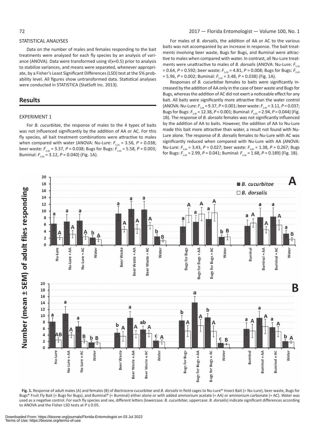#### STATISTICAL ANALYSES

were conducted in STATISTICA (StatSoft Inc. 2013).

## **Results**

#### EXPERIMENT 1

For *B. cucurbitae*, the response of males to the 4 types of baits was not influenced significantly by the addition of AA or AC. For this fly species, all bait treatment combinations were attractive to males when compared with water (ANOVA: Nu-Lure:  $F_{3,36} = 3.56$ ,  $P = 0.038$ ; beer waste: *F*3,40 = 3.37, *P* = 0.038; Bugs for Bugs: *F*3,40 = 5.58, *P* = 0.003; Buminal: *F*3,40 = 3.12, *P* = 0.040) (Fig. 1A).

For males of *B. dorsalis*, the addition of AA or AC to the various baits was not accompanied by an increase in response. The bait treatments involving beer waste, Bugs for Bugs, and Buminal were attractive to males when compared with water. In contrast, all Nu-Lure treatments were unattractive to males of *B. dorsalis* (ANOVA: Nu-Lure:  $F_{3,36}$ = 0.64, *P* = 0.592; beer waste:  $F_{3,28}$  = 4.81, *P* = 0.008; Bugs for Bugs:  $F_{3,40}$ = 5.96, *P* = 0.002; Buminal:  $F_{3,40}$  = 3.48, *P* = 0.038) (Fig. 1A).

Responses of *B. cucurbitae* females to baits were significantly increased by the addition of AA only in the case of beer waste and Bugs for Bugs, whereas the addition of AC did not exert a noticeable effect for any bait. All baits were significantly more attractive than the water control (ANOVA: Nu-Lure:  $F_{3,36} = 9.37$ ,  $P < 0.001$ ; beer waste:  $F_{3,40} = 3.11$ ,  $P = 0.037$ ; Bugs for Bugs: *F*3,40 = 12.38, *P* < 0.001; Buminal: *F*3,40 = 2.94, *P* = 0.044) (Fig. 1B). The response of *B. dorsalis* females was not significantly influenced by the addition of AA to baits. However, the addition of AA to Nu-Lure made this bait more attractive than water, a result not found with Nu-Lure alone. The response of *B. dorsalis* females to Nu-Lure with AC was significantly reduced when compared with Nu-Lure with AA (ANOVA: Nu-Lure:  $F_{3,36}$  = 3.43,  $P$  = 0.027; beer waste:  $F_{3,40}$  = 1.38,  $P$  = 0.267; Bugs for Bugs: *F*3,40 = 2.99, *P* = 0.041; Buminal: *F*3,36 = 1.68, *P* = 0.189) (Fig. 1B).



**Fig. 1.** Response of adult males (A) and females (B) of *Bactrocera cucurbitae* and *B. dorsalis* in field cages to Nu-Lure® Insect Bait (= Nu-Lure), beer waste, Bugs for Bugs® Fruit Fly Bait (= Bugs for Bugs), and Buminal® (= Buminal) either alone or with added ammonium acetate (= AA) or ammonium carbonate (= AC). Water was used as a negative control. For each fly species and sex, different letters (lowercase: *B. cucurbitae*; uppercase: *B. dorsalis*) indicate significant differences according to ANOVA and the Fisher LSD tests at *P* ≤ 0.05.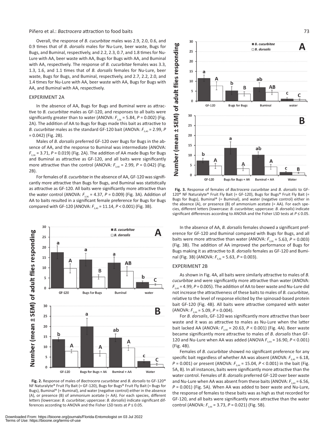#### Piñero et al.: *Bactrocera* attraction to food baits 73

Overall, the response of *B. cucurbitae* males was 2.9, 2.0, 0.6, and 0.9 times that of *B. dorsalis* males for Nu-Lure, beer waste, Bugs for Bugs, and Buminal, respectively, and 2.2, 2.3, 0.7, and 1.8 times for Nu-Lure with AA, beer waste with AA, Bugs for Bugs with AA, and Buminal with AA, respectively. The response of *B. cucurbitae* females was 3.3, 1.3, 1.6, and 1.1 times that of *B. dorsalis* females for Nu-Lure, beer waste, Bugs for Bugs, and Buminal, respectively, and 2.7, 2.2, 2.0, and 1.4 times for Nu-Lure with AA, beer waste with AA, Bugs for Bugs with AA, and Buminal with AA, respectively.

#### EXPERIMENT 2A

In the absence of AA, Bugs for Bugs and Buminal were as attractive to *B. cucurbitae* males as GF-120, and responses to all baits were significantly greater than to water (ANOVA:  $F_{3,36}$  = 5.84,  $P$  = 0.002) (Fig. 2A). The addition of AA to Bugs for Bugs made this bait as attractive to *B. cucurbitae* males as the standard GF-120 bait (ANOVA:  $F_{3,40} = 2.99$ , *P* = 0.042) (Fig. 2B).

Males of *B. dorsalis* preferred GF-120 over Bugs for Bugs in the absence of AA, and the response to Buminal was intermediate (ANOVA: *F*3,36 = 3.71, *P* = 0.019) (Fig. 2A). The addition of AA made Bugs for Bugs and Buminal as attractive as GF-120, and all baits were significantly more attractive than the control (ANOVA:  $F_{3,40}$  = 2.99,  $P = 0.042$ ) (Fig. 2B).

For females of *B. cucurbitae* in the absence of AA, GF-120 was significantly more attractive than Bugs for Bugs, and Buminal was statistically as attractive as GF-120. All baits were significantly more attractive than the water control (ANOVA:  $F_{336}$  = 4.37,  $P$  = 0.009) (Fig. 3A). Addition of AA to baits resulted in a significant female preference for Bugs for Bugs compared with GF-120 (ANOVA:  $F_{3,40}$  = 11.14,  $P < 0.001$ ) (Fig. 3B).



**Fig. 2.** Response of males of *Bactrocera cucurbitae* and *B. dorsalis* to GF-120® NF Naturalyte® Fruit Fly Bait (= GF-120), Bugs for Bugs® Fruit Fly Bait (= Bugs for Bugs), Buminal® (= Buminal), and water (negative control) either in the absence (A), or presence (B) of ammonium acetate (= AA). For each species, different letters (lowercase: *B. cucurbitae*; uppercase: *B. dorsalis*) indicate significant differences according to ANOVA and the Fisher LSD tests at *P* ≤ 0.05.



**Fig. 3.** Response of females of *Bactrocera cucurbitae* and *B. dorsalis* to GF-120® NF Naturalyte® Fruit Fly Bait (= GF-120), Bugs for Bugs® Fruit Fly Bait (= Bugs for Bugs), Buminal® (= Buminal), and water (negative control) either in the absence (A), or presence (B) of ammonium acetate (= AA). For each species, different letters (lowercase: *B. cucurbitae*; uppercase: *B. dorsalis*) indicate significant differences according to ANOVA and the Fisher LSD tests at *P* ≤ 0.05.

In the absence of AA, *B. dorsalis* females showed a significant preference for GF-120 and Buminal compared with Bugs for Bugs, and all baits were more attractive than water (ANOVA:  $F_{3,36} = 5.63$ ,  $P = 0.003$ ) (Fig. 3B). The addition of AA improved the performance of Bugs for Bugs making it as attractive to *B. dorsalis* females as GF-120 and Buminal (Fig. 3B) (ANOVA:  $F_{3,36} = 5.63$ ,  $P = 0.003$ ).

#### EXPERIMENT 2B

As shown in Fig. 4A, all baits were similarly attractive to males of *B. cucurbitae* and were significantly more attractive than water (ANOVA:  $F_{3,40}$  = 4.99,  $P$  = 0.005). The addition of AA to beer waste and Nu-Lure did not increase the attractiveness of these baits to males of *B. cucurbitae*, relative to the level of response elicited by the spinosad-based protein bait GF-120 (Fig. 4B). All baits were attractive compared with water  $(ANOVA: F<sub>3.44</sub> = 5.09, P = 0.004).$ 

For *B. dorsalis*, GF-120 was significantly more attractive than beer waste and it was as attractive to males as Nu-Lure when the latter bait lacked AA (ANOVA:  $F_{3,40}$  = 20.63, *P* < 0.001) (Fig. 4A). Beer waste became significantly more attractive to males of *B. dorsalis* than GF-120 and Nu-Lure when AA was added (ANOVA  $F_{3,44} = 16.90$ ,  $P < 0.001$ ) (Fig. 4B).

Females of *B. cucurbitae* showed no significant preference for any specific bait regardless of whether AA was absent (ANOVA:  $F_{3,40}$  = 6.18, *P* = 0.001) or present (ANOVA:  $F_{3,44}$  = 15.04, *P* < 0.001) in the bait (Fig. 5A, B). In all instances, baits were significantly more attractive than the water control. Females of *B. dorsalis* preferred GF-120 over beer waste and Nu-Lure when AA was absent from these baits (ANOVA:  $F_{3,40}$  = 6.56, *P* = 0.001) (Fig. 5A). When AA was added to beer waste and Nu-Lure, the response of females to these baits was as high as that recorded for GF-120, and all baits were significantly more attractive than the water control (ANOVA:  $F_{3,44}$  = 3.73, P = 0.021) (Fig. 5B).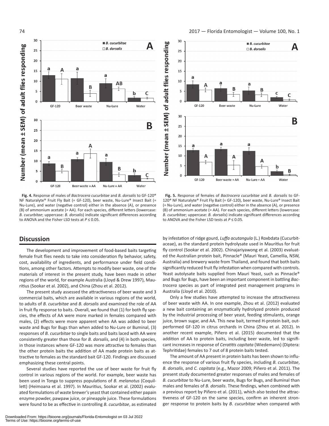

**Fig. 4.** Response of males of *Bactrocera cucurbitae* and *B. dorsalis* to GF-120® NF Naturalyte® Fruit Fly Bait (= GF-120), beer waste, Nu-Lure® Insect Bait (= Nu-Lure), and water (negative control) either in the absence (A), or presence (B) of ammonium acetate (= AA). For each species, different letters (lowercase: *B. cucurbitae*; uppercase: *B. dorsalis*) indicate significant differences according to ANOVA and the Fisher LSD tests at *P* ≤ 0.05.

## **Discussion**

The development and improvement of food-based baits targeting female fruit flies needs to take into consideration fly behavior, safety, cost, availability of ingredients, and performance under field conditions, among other factors. Attempts to modify beer waste, one of the materials of interest in the present study, have been made in other regions of the world, for example Australia (Lloyd & Drew 1997), Mauritius (Sookar et al. 2002), and China (Zhou et al. 2012).

The present study assessed the attractiveness of beer waste and 3 commercial baits, which are available in various regions of the world, to adults of *B. cucurbitae* and *B. dorsalis* and examined the role of AA in fruit fly response to baits. Overall, we found that (1) for both fly species, the effects of AA were more marked in females compared with males, (2) effects were more apparent when AA was added to beer waste and Bugs for Bugs than when added to Nu-Lure or Buminal, (3) responses of *B. cucurbitae* to single baits and baits laced with AA were consistently greater than those for *B. dorsalis*, and (4) in both species, in those instances where GF-120 was more attractive to females than the other protein baits the addition of AA made protein baits as attractive to females as the standard bait GF-120. Findings are discussed emphasizing these central points.

Several studies have reported the use of beer waste for fruit fly control in various regions of the world. For example, beer waste has been used in Tonga to suppress populations of *B. melanotus* (Coquillett) (Heimoana et al. 1997). In Mauritius, Sookar et al. (2002) evaluated formulations of waste brewer's yeast that contained either papain enzyme powder, pawpaw juice, or pineapple juice. These formulations were found to be as effective in controlling *B. cucurbitae*, as estimated



**Fig. 5.** Response of females of *Bactrocera cucurbitae* and *B. dorsalis* to GF-120® NF Naturalyte® Fruit Fly Bait (= GF-120), beer waste, Nu-Lure® Insect Bait (= Nu-Lure), and water (negative control) either in the absence (A), or presence (B) of ammonium acetate (= AA). For each species, different letters (lowercase: *B. cucurbitae*; uppercase: *B. dorsalis*) indicate significant differences according to ANOVA and the Fisher LSD tests at *P* ≤ 0.05.

by infestation of ridge gourd, *Luffa acutangula* (L.) Roxbdata (Cucurbitaceae), as the standard protein hydrolysate used in Mauritius for fruit fly control (Sookar et al. 2002). Chinajariyawong et al. (2003) evaluated the Australian protein bait, Pinnacle® (Mauri Yeast, Camellia, NSW, Australia) and brewery waste from Thailand, and found that both baits significantly reduced fruit fly infestation when compared with controls. Yeast autolysate baits supplied from Mauri Yeast, such as Pinnacle® and Bugs for Bugs, have been an important component in battling *Bactrocera* species as part of integrated pest management programs in Australia (Lloyd et al. 2010).

Only a few studies have attempted to increase the attractiveness of beer waste with AA. In one example, Zhou et al. (2012) evaluated a new bait containing an enzymatically hydrolyzed protein produced by the industrial processing of beer yeast, feeding stimulants, orange juice, brown sugar, and AA. This new bait, termed H-protein bait, outperformed GF-120 in citrus orchards in China (Zhou et al. 2012). In another recent example, Piñero et al. (2015) documented that the addition of AA to protein baits, including beer waste, led to significant increases in response of *Ceratitis capitata* (Wiedemann) (Diptera: Tephritidae) females to 7 out of 8 protein baits tested.

The amount of AA present in protein baits has been shown to influence the response of various fruit fly species, including *B. cucurbitae*, *B. dorsalis*, and *C. capitata* (e.g., Mazor 2009; Piñero et al. 2011). The present study documented greater responses of males and females of *B. cucurbitae* to Nu-Lure, beer waste, Bugs for Bugs, and Buminal than males and females of *B. dorsalis*. These findings, when combined with a previous report by Piñero et al. (2011), which also tested the attractiveness of GF-120 on the same species, confirm an inherent stronger response to protein baits by *B. cucurbitae* when compared with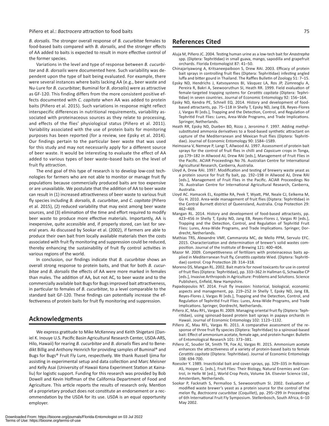#### Piñero et al.: *Bactrocera* attraction to food baits 75

*B. dorsalis.* The stronger overall response of *B. cucurbitae* females to food-based baits compared with *B. dorsalis*, and the stronger effects of AA added to baits is expected to result in more effective control of the former species.

Variations in the level and type of response between *B. cucurbitae* and *B. dorsalis* were documented here. Such variability was dependent upon the type of bait being evaluated. For example, there were several instances where baits lacking AA (e.g., beer waste and Nu-Lure for *B. cucurbitae*; Buminal for *B. dorsalis*) were as attractive as GF-120. This finding differs from the more consistent positive effects documented with *C. capitata* when AA was added to protein baits (Piñero et al. 2015). Such variations in response might reflect interspecific differences in nutritional requirements, variability associated with proteinaceous sources as they relate to processing, and effects of the flies' physiological status (Piñero et al. 2011). Variability associated with the use of protein baits for monitoring purposes has been reported (for a review, see Epsky et al. 2014). Our findings pertain to the particular beer waste that was used for this study and may not necessarily apply for a different source of beer waste. It would be interesting to evaluate the effect of AA added to various types of beer waste–based baits on the level of fruit fly attraction.

The end goal of this type of research is to develop low-cost technologies for farmers who are not able to monitor or manage fruit fly populations because commercially produced baits are too expensive or are unavailable. We postulate that the addition of AA to beer waste can result in (1) increased attractiveness of beer waste to various fruit fly species including *B. dorsalis*, *B. cucurbitae*, and *C. capitata* (Piñero et al. 2015), (2) reduced variability that may exist among beer waste sources, and (3) elimination of the time and effort required to modify beer waste to produce more effective materials. Importantly, AA is inexpensive, quite accessible and, if properly stored, can last for several years. As discussed by Sookar et al. (2002), if farmers are able to produce their own bait from locally available materials then the costs associated with fruit fly monitoring and suppression could be reduced, thereby enhancing the sustainability of fruit fly control activities in various regions of the world.

In conclusion, our findings indicate that *B. cucurbitae* shows an overall strong response to protein baits, and that for both *B. cucurbitae* and *B. dorsalis* the effects of AA were more marked in females than males. The addition of AA, but not AC, to beer waste and to the commercially available bait Bugs for Bugs improved bait attractiveness, in particular to females of *B. cucurbitae*, to a level comparable to the standard bait GF-120. These findings can potentially increase the effectiveness of protein baits for fruit fly monitoring and suppression.

### **Acknowledgments**

We express gratitude to Mike McKenney and Keith Shigetani (Daniel K. Inouye U.S. Pacific Basin Agricultural Research Center, USDA-ARS, Hilo, Hawaii) for rearing *B. cucurbitae* and *B. dorsalis* flies and to Benedikt Billig and Anthony Heinrich for providing samples of Buminal® and Bugs for Bugs® Fruit Fly Lure, respectively. We thank Russell Ijima for assisting in experimental setup and data collection and Marc Meisner and Kelly Asai (University of Hawaii Kona Experiment Station at Kainaliu) for logistic support. Funding for this research was provided by Bob Dowell and Kevin Hoffman of the California Department of Food and Agriculture. This article reports the results of research only. Mention of a proprietary product does not constitute an endorsement or a recommendation by the USDA for its use. USDA is an equal opportunity employer.

- Aluja M, Piñero JC. 2004. Testing human urine as a low-tech bait for *Anastrepha* spp. (Diptera: Tephritidae) in small guava, mango, sapodilla and grapefruit orchards. Florida Entomologist 87: 41–50.
- Chinajariyawong A, Kritsaneepaiboon S, Drew RAI. 2003. Efficacy of protein bait sprays in controlling fruit flies (Diptera: Tephritidae) infesting angled luffa and bitter gourd in Thailand. The Raffles Bulletin of Zoology 51: 7–15.
- Epsky ND, Hendrichs J, Katsoyannos BI, Vásquez LA, Ros JP, Zümreoglu A, Pereira R, Bakri A, Seewooruthun SI, Heath RR. 1999. Field evaluation of female-targeted trapping systems for *Ceratitis capitata* (Diptera: Tephritidae) in seven countries. Journal of Economic Entomology 92: 156–164.
- Epsky ND, Kendra PE, Schnell EQ. 2014. History and development of foodbased attractants, pp. 75–118 *In* Shelly T, Epsky ND, Jang EB, Reyes-Flores J, Vargas RI [eds.], Trapping and the Detection, Control, and Regulation of Tephritid Fruit Flies: Lures, Area-Wide Programs, and Trade Implications. Springer, Netherlands.
- Heath RR, Epsky ND, Dueben BD, Rizzo J, Jeronimo F. 1997. Adding methylsubstituted ammonia derivatives to a food-based synthetic attractant on capture of the Mediterranean and Mexican fruit flies (Diptera: Tephritidae). Journal of Economic Entomology 90: 1584–1589.
- Heimoana V, Nemeye P, Langi T, Allwood AJ. 1997. Assessment of protein bait sprays for the control of fruit flies in chilli and *Capsicum* crops in Tonga, pp.179–182 *In* Allwood AJ, Drew RAI [eds.], Management of Fruit Flies in the Pacific. ACIAR Proceedings No 76. Australian Centre for International Agricultural Research, Canberra, Australia.
- Lloyd A, Drew RAI. 1997. Modification and testing of brewery waste yeast as a protein source for fruit fly bait, pp. 192–198 *In* Allwood AJ, Drew RAI [eds.], Management of Fruit Flies in the Pacific. ACIAR Proceedings No 76. Australian Centre for International Agricultural Research, Canberra, Australia.
- Lloyd AC. Hamacek EL, Kopittke RA, Peek T, Wyatt, PM, Neale CJ, Eelkema M, Gu H. 2010. Area-wide management of fruit flies (Diptera: Tephritidae) in the Central Burnett district of Queensland, Australia. Crop Protection 29: 462–469.
- Mangan RL. 2014. History and development of food-based attractants, pp. 423–456 *In* Shelly T, Epsky ND, Jang EB, Reyes-Flores J, Vargas RI [eds.], Trapping and the Detection, Control, and Regulation of Tephritid Fruit Flies: Lures, Area-Wide Programs, and Trade Implications. Springer, Dordrecht, Netherlands.
- Mathias TRS, Alexandre VMF, Cammarota MC, de Mello PPM, Servulo EFC. 2015. Characterization and determination of brewer's solid wastes composition. Journal of the Institute of Brewing 121: 400–404.
- Mazor M. 2009. Competitiveness of fertilizers with proteinaceous baits applied in Mediterranean fruit fly, *Ceratitis capitata* Wied. (Diptera: Tephritidae) control. Crop Protection 28: 314–318.
- Moreno DS, Mangan RL. 2002. Bait matrix for novel toxicants for use in control of fruit flies (Diptera: Tephritidae), pp. 333–362 *In* Hallman G, Schwalbe CP [eds.], Invasive Arthropods in Agriculture: Problems and Solutions. Science Publishers, Enfield, New Hampshire.
- Papadopoulos NT. 2014. Fruit fly invasion: historical, biological, economic aspects and management, pp. 219–252 *In* Shelly T, Epsky ND, Jang EB, Reyes-Flores J, Vargas RI [eds.], Trapping and the Detection, Control, and Regulation of Tephritid Fruit Flies: Lures, Area-Wide Programs, and Trade Implications. Springer, Dordrecht, Netherlands.
- Piñero JC, Mau RFL, Vargas RI. 2009. Managing oriental fruit fly (Diptera: Tephritidae), using spinosad-based protein bait sprays in papaya orchards in Hawaii. Journal of Economic Entomology 102: 1123–1132.
- Piñero JC, Mau RFL, Vargas RI. 2011. A comparative assessment of the response of three fruit fly species (Diptera: Tephritidae) to a spinosad-based bait: Effect of ammonium acetate, female age, and protein hunger. Bulletin of Entomological Research 101: 373–381.
- Piñero JC, Souder SK, Smith TR, Fox AJ, Vargas RI. 2015. Ammonium acetate enhances the attractiveness of a variety of protein-based baits to female *Ceratitis capitata* (Diptera: Tephritidae). Journal of Economic Entomology 108: 694-700.
- Roessler Y. 1989. Insecticidal bait and cover sprays, pp. 329–335 *In* Robinson AS, Hooper G. [eds.], Fruit Flies: Their Biology, Natural Enemies and Control, *In* Helle W [ed.], World Crop Pests, Volume 3A. Elsevier Science Ltd., Amsterdam, Netherlands.
- Sookar P, Facknath S, Permalloo S, Seewoorothum SI. 2002. Evaluation of modified waste brewer's yeast as a protein source for the control of the melon fly, *Bactrocera cucurbitae* (Coquillet), pp. 295–299 *In* Proceedings of 6th International Fruit Fly Symposium. Stellenbosch, South Africa, 6–10 May 2002.